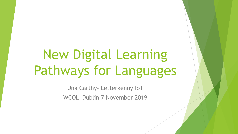# New Digital Learning Pathways for Languages

Una Carthy- Letterkenny IoT WCOL Dublin 7 November 2019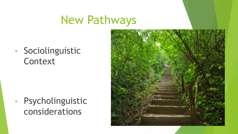## New Pathways

• Sociolinguistic **Context** 

• Psycholinguistic considerations

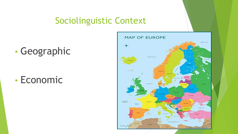#### Sociolinguistic Context

### • Geographic

#### • Economic

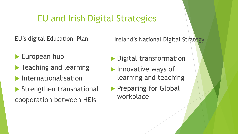#### EU and Irish Digital Strategies

EU's digital Education Plan

Ireland's National Digital Strategy

- European hub
- $\blacktriangleright$  Teaching and learning
- $\blacktriangleright$  Internationalisation
- Strengthen transnational cooperation between HEIs
- Digital transformation
- Innovative ways of learning and teaching
- **Preparing for Global** workplace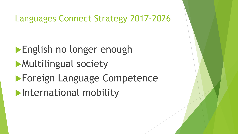Languages Connect Strategy 2017-2026

English no longer enough Multilingual society **Foreign Language Competence International mobility**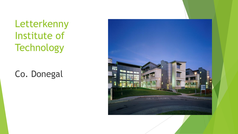Letterkenny Institute of **Technology** 

Co. Donegal

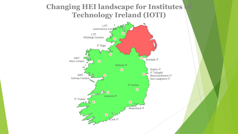#### **Changing HEI landscape for Institutes Technology Ireland (IOTI)**

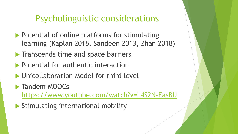#### Psycholinguistic considerations

- **Potential of online platforms for stimulating** learning (Kaplan 2016, Sandeen 2013, Zhan 2018)
- $\blacktriangleright$  Transcends time and space barriers
- **Potential for authentic interaction**
- **I** Unicollaboration Model for third level
- **Tandem MOOCs**

<https://www.youtube.com/watch?v=L4S2N-EasBU>

Stimulating international mobility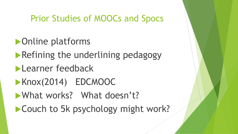#### Prior Studies of MOOCs and Spocs

- Online platforms
- **Refining the underlining pedagogy**
- **Learner feedback**
- Knox(2014) EDCMOOC
- What works? What doesn't?
- Couch to 5k psychology might work?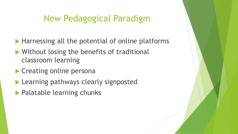#### New Pedagogical Paradigm

- $\blacktriangleright$  Harnessing all the potential of online platforms
- ▶ Without losing the benefits of traditional classroom learning
- **Creating online personal**
- **Learning pathways clearly signposted**
- **Palatable learning chunks**